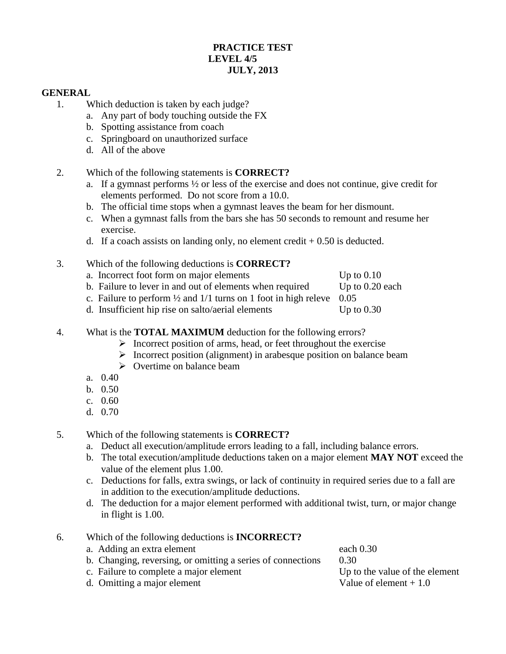## **PRACTICE TEST LEVEL 4/5 JULY, 2013**

## **GENERAL**

- 1. Which deduction is taken by each judge?
	- a. Any part of body touching outside the FX
	- b. Spotting assistance from coach
	- c. Springboard on unauthorized surface
	- d. All of the above
- 2. Which of the following statements is **CORRECT?**
	- a. If a gymnast performs ½ or less of the exercise and does not continue, give credit for elements performed. Do not score from a 10.0.
	- b. The official time stops when a gymnast leaves the beam for her dismount.
	- c. When a gymnast falls from the bars she has 50 seconds to remount and resume her exercise.
	- d. If a coach assists on landing only, no element credit  $+0.50$  is deducted.
- 3. Which of the following deductions is **CORRECT?** a. Incorrect foot form on major elements Up to 0.10 b. Failure to lever in and out of elements when required Up to 0.20 each c. Failure to perform  $\frac{1}{2}$  and  $\frac{1}{1}$  turns on 1 foot in high releve 0.05 d. Insufficient hip rise on salto/aerial elements Up to 0.30
- 4. What is the **TOTAL MAXIMUM** deduction for the following errors?
	- $\triangleright$  Incorrect position of arms, head, or feet throughout the exercise
	- $\triangleright$  Incorrect position (alignment) in arabesque position on balance beam
	- $\triangleright$  Overtime on balance beam
	- a. 0.40
	- b. 0.50
	- c. 0.60
	- d. 0.70
- 5. Which of the following statements is **CORRECT?**
	- a. Deduct all execution/amplitude errors leading to a fall, including balance errors.
	- b. The total execution/amplitude deductions taken on a major element **MAY NOT** exceed the value of the element plus 1.00.
	- c. Deductions for falls, extra swings, or lack of continuity in required series due to a fall are in addition to the execution/amplitude deductions.
	- d. The deduction for a major element performed with additional twist, turn, or major change in flight is 1.00.
- 6. Which of the following deductions is **INCORRECT?**
	- a. Adding an extra element each 0.30
	- b. Changing, reversing, or omitting a series of connections 0.30
	- c. Failure to complete a major element Up to the value of the element
- - d. Omitting a major element  $V$ alue of element + 1.0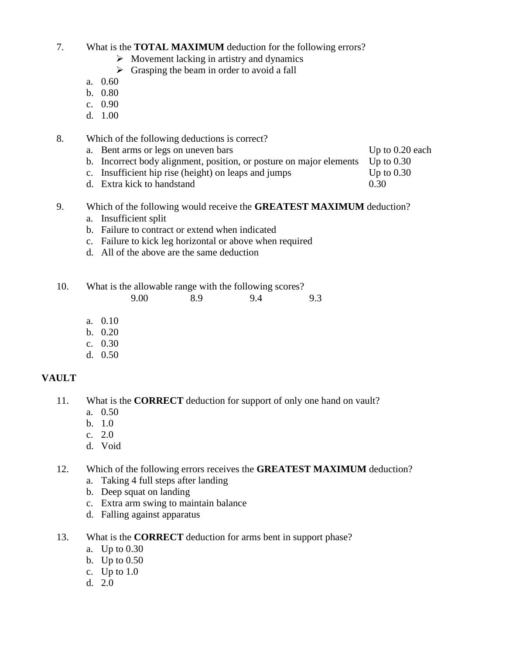7. What is the **TOTAL MAXIMUM** deduction for the following errors?

- $\triangleright$  Movement lacking in artistry and dynamics
- $\triangleright$  Grasping the beam in order to avoid a fall
- a. 0.60
- b. 0.80
- c. 0.90
- d. 1.00
- 8. Which of the following deductions is correct?
	- a. Bent arms or legs on uneven bars Up to 0.20 each

- b. Incorrect body alignment, position, or posture on major elements Up to 0.30
- c. Insufficient hip rise (height) on leaps and jumps Up to 0.30 d. Extra kick to handstand 0.30
- 
- 9. Which of the following would receive the **GREATEST MAXIMUM** deduction?
	- a. Insufficient split
	- b. Failure to contract or extend when indicated
	- c. Failure to kick leg horizontal or above when required
	- d. All of the above are the same deduction

10. What is the allowable range with the following scores?

| 9.00 | 8.9 | 9.4 | 9.3 |
|------|-----|-----|-----|
|      |     |     |     |

- a. 0.10
- b. 0.20
- c. 0.30
- d. 0.50

# **VAULT**

11. What is the **CORRECT** deduction for support of only one hand on vault?

- a. 0.50
- b. 1.0
- c. 2.0
- d. Void

12. Which of the following errors receives the **GREATEST MAXIMUM** deduction?

- a. Taking 4 full steps after landing
- b. Deep squat on landing
- c. Extra arm swing to maintain balance
- d. Falling against apparatus
- 13. What is the **CORRECT** deduction for arms bent in support phase?
	- a. Up to 0.30
	- b. Up to 0.50
	- c. Up to 1.0
	- d. 2.0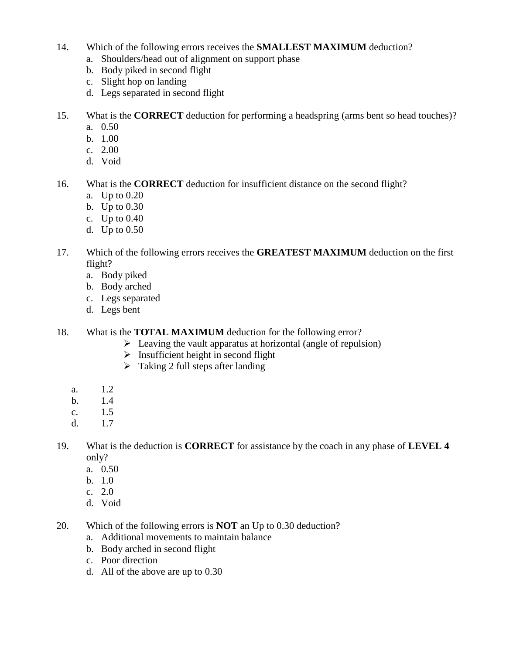- 14. Which of the following errors receives the **SMALLEST MAXIMUM** deduction?
	- a. Shoulders/head out of alignment on support phase
	- b. Body piked in second flight
	- c. Slight hop on landing
	- d. Legs separated in second flight
- 15. What is the **CORRECT** deduction for performing a headspring (arms bent so head touches)?
	- a. 0.50
	- b. 1.00
	- c. 2.00
	- d. Void
- 16. What is the **CORRECT** deduction for insufficient distance on the second flight?
	- a. Up to 0.20
	- b. Up to 0.30
	- c. Up to 0.40
	- d. Up to 0.50
- 17. Which of the following errors receives the **GREATEST MAXIMUM** deduction on the first flight?
	- a. Body piked
	- b. Body arched
	- c. Legs separated
	- d. Legs bent

18. What is the **TOTAL MAXIMUM** deduction for the following error?

- $\triangleright$  Leaving the vault apparatus at horizontal (angle of repulsion)
- $\triangleright$  Insufficient height in second flight
- $\triangleright$  Taking 2 full steps after landing
- a. 1.2
- b. 1.4
- c. 1.5
- d. 1.7

19. What is the deduction is **CORRECT** for assistance by the coach in any phase of **LEVEL 4**  only?

- a. 0.50
- b. 1.0
- c. 2.0
- d. Void
- 20. Which of the following errors is **NOT** an Up to 0.30 deduction?
	- a. Additional movements to maintain balance
	- b. Body arched in second flight
	- c. Poor direction
	- d. All of the above are up to 0.30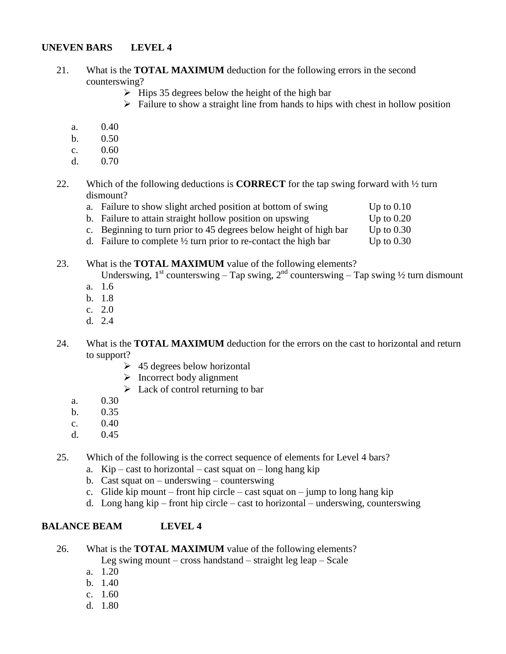## **UNEVEN BARS LEVEL 4**

- 21. What is the **TOTAL MAXIMUM** deduction for the following errors in the second counterswing?
	- $\triangleright$  Hips 35 degrees below the height of the high bar
	- $\triangleright$  Failure to show a straight line from hands to hips with chest in hollow position
	- a. 0.40
	- b. 0.50
	- c. 0.60
	- d. 0.70
- 22. Which of the following deductions is **CORRECT** for the tap swing forward with ½ turn dismount?

| a. Failure to show slight arched position at bottom of swing      | Up to $0.10$ |
|-------------------------------------------------------------------|--------------|
| b. Failure to attain straight hollow position on upswing          | Up to $0.20$ |
| c. Beginning to turn prior to 45 degrees below height of high bar | Up to $0.30$ |

- d. Failure to complete  $\frac{1}{2}$  turn prior to re-contact the high bar Up to 0.30
- 23. What is the **TOTAL MAXIMUM** value of the following elements?

Underswing,  $1^{st}$  counterswing – Tap swing,  $2^{nd}$  counterswing – Tap swing  $\frac{1}{2}$  turn dismount

- a. 1.6
- b. 1.8
- c. 2.0
- d. 2.4
- 24. What is the **TOTAL MAXIMUM** deduction for the errors on the cast to horizontal and return to support?
	- $\geq$  45 degrees below horizontal
	- $\triangleright$  Incorrect body alignment
	- $\triangleright$  Lack of control returning to bar
	- a. 0.30
	- b. 0.35
	- c. 0.40
	- d. 0.45
- 25. Which of the following is the correct sequence of elements for Level 4 bars?
	- a. Kip cast to horizontal cast squat on long hang kip
	- b. Cast squat on underswing counterswing
	- c. Glide kip mount front hip circle cast squat on jump to long hang kip
	- d. Long hang kip front hip circle cast to horizontal underswing, counterswing

### **BALANCE BEAM LEVEL 4**

26. What is the **TOTAL MAXIMUM** value of the following elements?

Leg swing mount – cross handstand – straight leg leap – Scale

- a. 1.20
- b. 1.40
- c. 1.60
- d. 1.80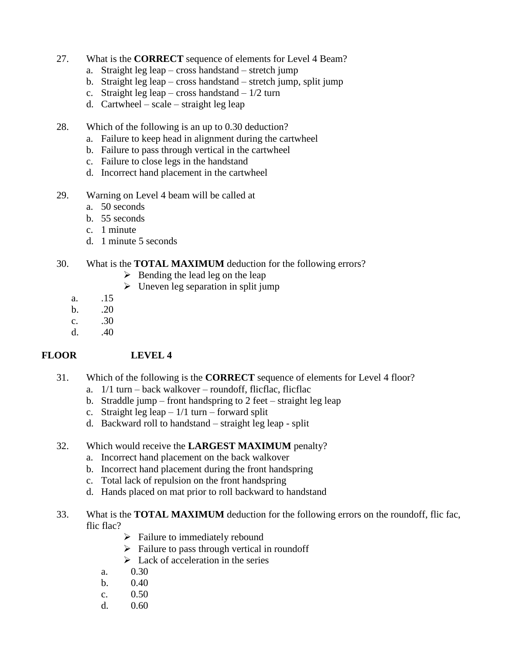- 27. What is the **CORRECT** sequence of elements for Level 4 Beam?
	- a. Straight leg leap cross handstand stretch jump
	- b. Straight leg leap cross handstand stretch jump, split jump
	- c. Straight leg leap cross handstand  $1/2$  turn
	- d. Cartwheel scale straight leg leap
- 28. Which of the following is an up to 0.30 deduction?
	- a. Failure to keep head in alignment during the cartwheel
	- b. Failure to pass through vertical in the cartwheel
	- c. Failure to close legs in the handstand
	- d. Incorrect hand placement in the cartwheel
- 29. Warning on Level 4 beam will be called at
	- a. 50 seconds
	- b. 55 seconds
	- c. 1 minute
	- d. 1 minute 5 seconds

### 30. What is the **TOTAL MAXIMUM** deduction for the following errors?

- $\triangleright$  Bending the lead leg on the leap
- $\triangleright$  Uneven leg separation in split jump
- a. .15
- $b. 20$
- c.  $30$
- d. .40

## **FLOOR LEVEL 4**

- 31. Which of the following is the **CORRECT** sequence of elements for Level 4 floor?
	- a. 1/1 turn back walkover roundoff, flicflac, flicflac
	- b. Straddle jump front handspring to 2 feet straight leg leap
	- c. Straight leg leap  $-1/1$  turn forward split
	- d. Backward roll to handstand straight leg leap split

### 32. Which would receive the **LARGEST MAXIMUM** penalty?

- a. Incorrect hand placement on the back walkover
- b. Incorrect hand placement during the front handspring
- c. Total lack of repulsion on the front handspring
- d. Hands placed on mat prior to roll backward to handstand

## 33. What is the **TOTAL MAXIMUM** deduction for the following errors on the roundoff, flic fac, flic flac?

- $\triangleright$  Failure to immediately rebound
- $\triangleright$  Failure to pass through vertical in roundoff
- $\triangleright$  Lack of acceleration in the series
- a. 0.30
- b. 0.40
- c. 0.50
- d. 0.60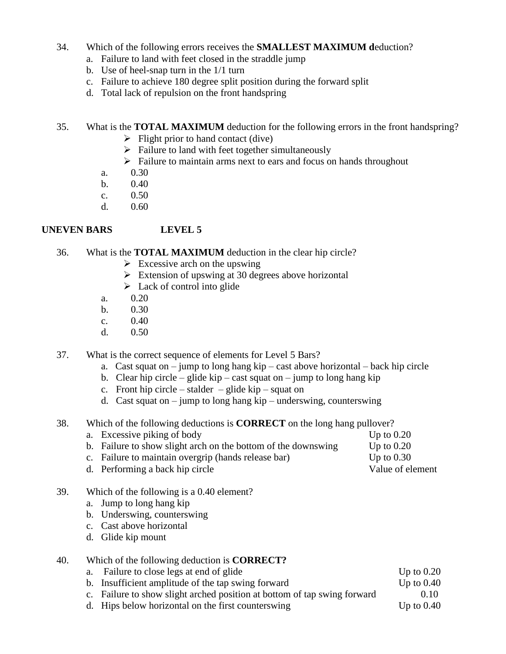## 34. Which of the following errors receives the **SMALLEST MAXIMUM d**eduction?

- a. Failure to land with feet closed in the straddle jump
- b. Use of heel-snap turn in the 1/1 turn
- c. Failure to achieve 180 degree split position during the forward split
- d. Total lack of repulsion on the front handspring

## 35. What is the **TOTAL MAXIMUM** deduction for the following errors in the front handspring?

- $\triangleright$  Flight prior to hand contact (dive)
- $\triangleright$  Failure to land with feet together simultaneously
- $\triangleright$  Failure to maintain arms next to ears and focus on hands throughout
- a. 0.30
- $b = 0.40$
- c. 0.50
- d. 0.60

## **UNEVEN BARS LEVEL 5**

- 36. What is the **TOTAL MAXIMUM** deduction in the clear hip circle?
	- $\triangleright$  Excessive arch on the upswing
	- $\triangleright$  Extension of upswing at 30 degrees above horizontal
	- $\triangleright$  Lack of control into glide
	- a. 0.20
	- b. 0.30
	- c.  $0.40$
	- d. 0.50
- 37. What is the correct sequence of elements for Level 5 Bars?
	- a. Cast squat on  $-$  jump to long hang kip cast above horizontal back hip circle
	- b. Clear hip circle glide kip cast squat on jump to long hang kip
	- c. Front hip circle stalder glide kip squat on
	- d. Cast squat on jump to long hang  $kip-$  underswing, counterswing

### 38. Which of the following deductions is **CORRECT** on the long hang pullover?

- a. Excessive piking of body Up to 0.20
- b. Failure to show slight arch on the bottom of the downswing Up to 0.20
- c. Failure to maintain overgrip (hands release bar) Up to 0.30
- d. Performing a back hip circle Value of element
- 39. Which of the following is a 0.40 element?
	- a. Jump to long hang kip
	- b. Underswing, counterswing
	- c. Cast above horizontal
	- d. Glide kip mount

# 40. Which of the following deduction is **CORRECT?**

- a. Failure to close legs at end of glide Up to 0.20
- b. Insufficient amplitude of the tap swing forward Up to 0.40
- c. Failure to show slight arched position at bottom of tap swing forward 0.10
- d. Hips below horizontal on the first counterswing Up to 0.40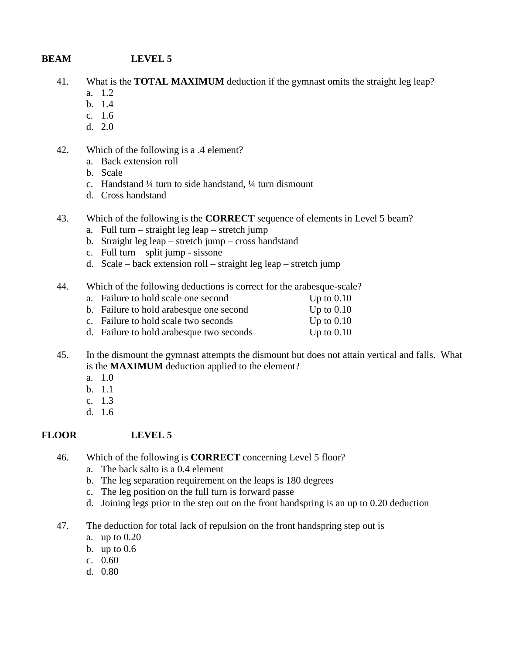# **BEAM LEVEL 5**

- 41. What is the **TOTAL MAXIMUM** deduction if the gymnast omits the straight leg leap? a. 1.2
	- b. 1.4
	- c. 1.6
	- d. 2.0
	-
- 42. Which of the following is a .4 element?
	- a. Back extension roll
	- b. Scale
	- c. Handstand ¼ turn to side handstand, ¼ turn dismount
	- d. Cross handstand
- 43. Which of the following is the **CORRECT** sequence of elements in Level 5 beam?
	- a. Full turn straight leg leap stretch jump
	- b. Straight leg leap stretch jump cross handstand
	- c. Full turn split jump sissone
	- d. Scale back extension roll straight leg leap stretch jump
- 44. Which of the following deductions is correct for the arabesque-scale?
	- a. Failure to hold scale one second Up to  $0.10$ b. Failure to hold arabesque one second Up to 0.10 c. Failure to hold scale two seconds Up to 0.10 d. Failure to hold arabesque two seconds Up to 0.10
- 45. In the dismount the gymnast attempts the dismount but does not attain vertical and falls. What is the **MAXIMUM** deduction applied to the element?
	- a. 1.0
	- b. 1.1
	- c. 1.3
	- d. 1.6

# **FLOOR LEVEL 5**

- 46. Which of the following is **CORRECT** concerning Level 5 floor?
	- a. The back salto is a 0.4 element
	- b. The leg separation requirement on the leaps is 180 degrees
	- c. The leg position on the full turn is forward passe
	- d. Joining legs prior to the step out on the front handspring is an up to 0.20 deduction
- 47. The deduction for total lack of repulsion on the front handspring step out is
	- a. up to 0.20
	- b. up to  $0.6$
	- c. 0.60
	- d. 0.80